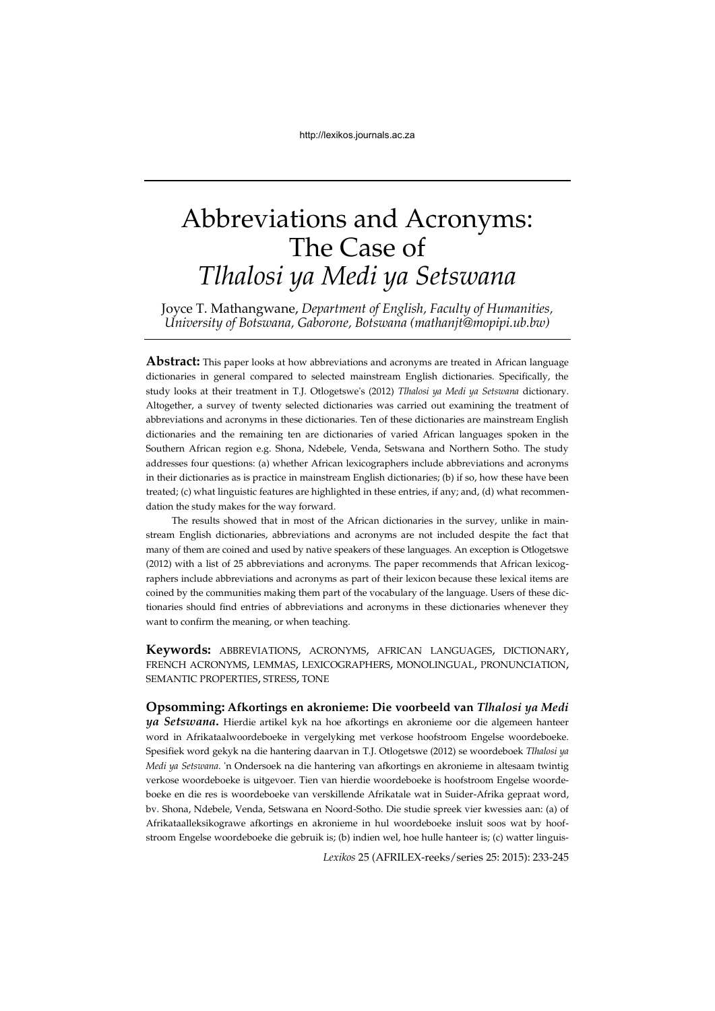# Abbreviations and Acronyms: The Case of *Tlhalosi ya Medi ya Setswana*

Joyce T. Mathangwane, *Department of English, Faculty of Humanities, University of Botswana, Gaborone, Botswana (mathanjt@mopipi.ub.bw)* 

**Abstract:** This paper looks at how abbreviations and acronyms are treated in African language dictionaries in general compared to selected mainstream English dictionaries. Specifically, the study looks at their treatment in T.J. Otlogetswe's (2012) *Tlhalosi ya Medi ya Setswana* dictionary. Altogether, a survey of twenty selected dictionaries was carried out examining the treatment of abbreviations and acronyms in these dictionaries. Ten of these dictionaries are mainstream English dictionaries and the remaining ten are dictionaries of varied African languages spoken in the Southern African region e.g. Shona, Ndebele, Venda, Setswana and Northern Sotho. The study addresses four questions: (a) whether African lexicographers include abbreviations and acronyms in their dictionaries as is practice in mainstream English dictionaries; (b) if so, how these have been treated; (c) what linguistic features are highlighted in these entries, if any; and, (d) what recommendation the study makes for the way forward.

The results showed that in most of the African dictionaries in the survey, unlike in mainstream English dictionaries, abbreviations and acronyms are not included despite the fact that many of them are coined and used by native speakers of these languages. An exception is Otlogetswe (2012) with a list of 25 abbreviations and acronyms. The paper recommends that African lexicographers include abbreviations and acronyms as part of their lexicon because these lexical items are coined by the communities making them part of the vocabulary of the language. Users of these dictionaries should find entries of abbreviations and acronyms in these dictionaries whenever they want to confirm the meaning, or when teaching.

**Keywords:** ABBREVIATIONS, ACRONYMS, AFRICAN LANGUAGES, DICTIONARY, FRENCH ACRONYMS, LEMMAS, LEXICOGRAPHERS, MONOLINGUAL, PRONUNCIATION, SEMANTIC PROPERTIES, STRESS, TONE

**Opsomming: Afkortings en akronieme: Die voorbeeld van** *Tlhalosi ya Medi ya Setswana***.** Hierdie artikel kyk na hoe afkortings en akronieme oor die algemeen hanteer word in Afrikataalwoordeboeke in vergelyking met verkose hoofstroom Engelse woordeboeke. Spesifiek word gekyk na die hantering daarvan in T.J. Otlogetswe (2012) se woordeboek *Tlhalosi ya Medi ya Setswana*. 'n Ondersoek na die hantering van afkortings en akronieme in altesaam twintig verkose woordeboeke is uitgevoer. Tien van hierdie woordeboeke is hoofstroom Engelse woordeboeke en die res is woordeboeke van verskillende Afrikatale wat in Suider-Afrika gepraat word, bv. Shona, Ndebele, Venda, Setswana en Noord-Sotho. Die studie spreek vier kwessies aan: (a) of Afrikataalleksikograwe afkortings en akronieme in hul woordeboeke insluit soos wat by hoofstroom Engelse woordeboeke die gebruik is; (b) indien wel, hoe hulle hanteer is; (c) watter linguis-

*Lexikos* 25 (AFRILEX-reeks/series 25: 2015): 233-245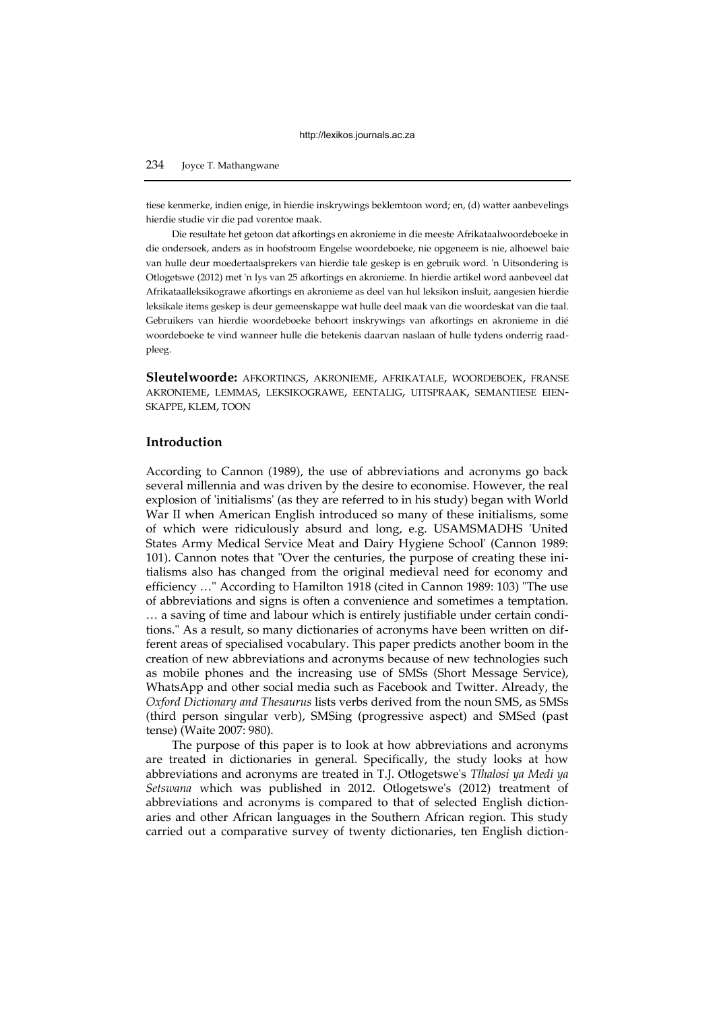## 234 Joyce T. Mathangwane

tiese kenmerke, indien enige, in hierdie inskrywings beklemtoon word; en, (d) watter aanbevelings hierdie studie vir die pad vorentoe maak.

Die resultate het getoon dat afkortings en akronieme in die meeste Afrikataalwoordeboeke in die ondersoek, anders as in hoofstroom Engelse woordeboeke, nie opgeneem is nie, alhoewel baie van hulle deur moedertaalsprekers van hierdie tale geskep is en gebruik word. 'n Uitsondering is Otlogetswe (2012) met 'n lys van 25 afkortings en akronieme. In hierdie artikel word aanbeveel dat Afrikataalleksikograwe afkortings en akronieme as deel van hul leksikon insluit, aangesien hierdie leksikale items geskep is deur gemeenskappe wat hulle deel maak van die woordeskat van die taal. Gebruikers van hierdie woordeboeke behoort inskrywings van afkortings en akronieme in dié woordeboeke te vind wanneer hulle die betekenis daarvan naslaan of hulle tydens onderrig raadpleeg.

**Sleutelwoorde:** AFKORTINGS, AKRONIEME, AFRIKATALE, WOORDEBOEK, FRANSE AKRONIEME, LEMMAS, LEKSIKOGRAWE, EENTALIG, UITSPRAAK, SEMANTIESE EIEN-SKAPPE, KLEM, TOON

## **Introduction**

According to Cannon (1989), the use of abbreviations and acronyms go back several millennia and was driven by the desire to economise. However, the real explosion of 'initialisms' (as they are referred to in his study) began with World War II when American English introduced so many of these initialisms, some of which were ridiculously absurd and long, e.g. USAMSMADHS 'United States Army Medical Service Meat and Dairy Hygiene School' (Cannon 1989: 101). Cannon notes that "Over the centuries, the purpose of creating these initialisms also has changed from the original medieval need for economy and efficiency …" According to Hamilton 1918 (cited in Cannon 1989: 103) "The use of abbreviations and signs is often a convenience and sometimes a temptation. … a saving of time and labour which is entirely justifiable under certain conditions." As a result, so many dictionaries of acronyms have been written on different areas of specialised vocabulary. This paper predicts another boom in the creation of new abbreviations and acronyms because of new technologies such as mobile phones and the increasing use of SMSs (Short Message Service), WhatsApp and other social media such as Facebook and Twitter. Already, the *Oxford Dictionary and Thesaurus* lists verbs derived from the noun SMS, as SMSs (third person singular verb), SMSing (progressive aspect) and SMSed (past tense) (Waite 2007: 980).

The purpose of this paper is to look at how abbreviations and acronyms are treated in dictionaries in general. Specifically, the study looks at how abbreviations and acronyms are treated in T.J. Otlogetswe's *Tlhalosi ya Medi ya Setswana* which was published in 2012. Otlogetswe's (2012) treatment of abbreviations and acronyms is compared to that of selected English dictionaries and other African languages in the Southern African region. This study carried out a comparative survey of twenty dictionaries, ten English diction-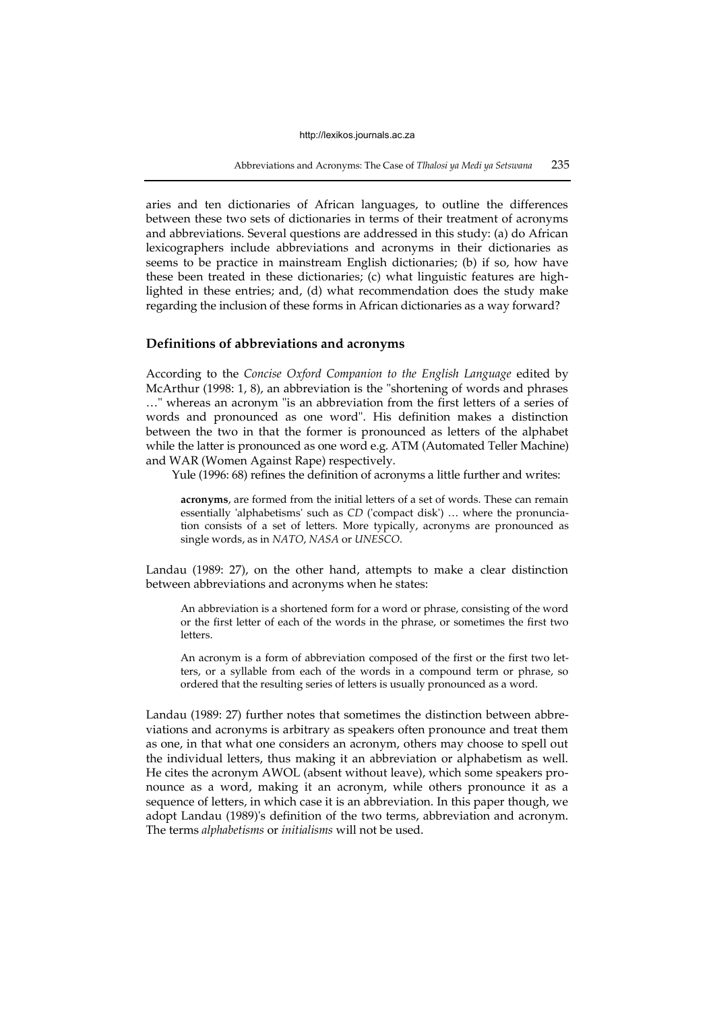Abbreviations and Acronyms: The Case of *Tlhalosi ya Medi ya Setswana* 235

aries and ten dictionaries of African languages, to outline the differences between these two sets of dictionaries in terms of their treatment of acronyms and abbreviations. Several questions are addressed in this study: (a) do African lexicographers include abbreviations and acronyms in their dictionaries as seems to be practice in mainstream English dictionaries; (b) if so, how have these been treated in these dictionaries; (c) what linguistic features are highlighted in these entries; and, (d) what recommendation does the study make regarding the inclusion of these forms in African dictionaries as a way forward?

# **Definitions of abbreviations and acronyms**

According to the *Concise Oxford Companion to the English Language* edited by McArthur (1998: 1, 8), an abbreviation is the "shortening of words and phrases …" whereas an acronym "is an abbreviation from the first letters of a series of words and pronounced as one word". His definition makes a distinction between the two in that the former is pronounced as letters of the alphabet while the latter is pronounced as one word e.g. ATM (Automated Teller Machine) and WAR (Women Against Rape) respectively.

Yule (1996: 68) refines the definition of acronyms a little further and writes:

**acronyms**, are formed from the initial letters of a set of words. These can remain essentially 'alphabetisms' such as *CD* ('compact disk') … where the pronunciation consists of a set of letters. More typically, acronyms are pronounced as single words, as in *NATO*, *NASA* or *UNESCO*.

Landau (1989: 27), on the other hand, attempts to make a clear distinction between abbreviations and acronyms when he states:

An abbreviation is a shortened form for a word or phrase, consisting of the word or the first letter of each of the words in the phrase, or sometimes the first two letters.

An acronym is a form of abbreviation composed of the first or the first two letters, or a syllable from each of the words in a compound term or phrase, so ordered that the resulting series of letters is usually pronounced as a word.

Landau (1989: 27) further notes that sometimes the distinction between abbreviations and acronyms is arbitrary as speakers often pronounce and treat them as one, in that what one considers an acronym, others may choose to spell out the individual letters, thus making it an abbreviation or alphabetism as well. He cites the acronym AWOL (absent without leave), which some speakers pronounce as a word, making it an acronym, while others pronounce it as a sequence of letters, in which case it is an abbreviation. In this paper though, we adopt Landau (1989)'s definition of the two terms, abbreviation and acronym. The terms *alphabetisms* or *initialisms* will not be used.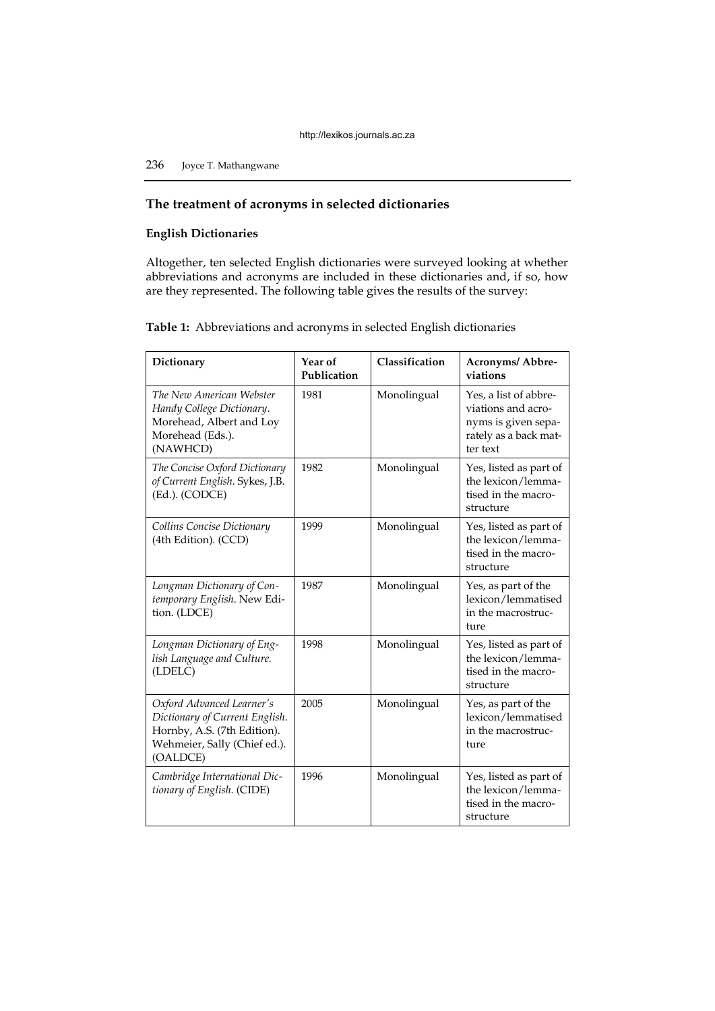236 Joyce T. Mathangwane

# **The treatment of acronyms in selected dictionaries**

# **English Dictionaries**

Altogether, ten selected English dictionaries were surveyed looking at whether abbreviations and acronyms are included in these dictionaries and, if so, how are they represented. The following table gives the results of the survey:

**Table 1:** Abbreviations and acronyms in selected English dictionaries

| Dictionary                                                                                                                             | Year of<br>Publication | Classification | Acronyms/ Abbre-<br>viations                                                                            |
|----------------------------------------------------------------------------------------------------------------------------------------|------------------------|----------------|---------------------------------------------------------------------------------------------------------|
| The New American Webster<br>Handy College Dictionary.<br>Morehead, Albert and Loy<br>Morehead (Eds.).<br>(NAWHCD)                      | 1981                   | Monolingual    | Yes, a list of abbre-<br>viations and acro-<br>nyms is given sepa-<br>rately as a back mat-<br>ter text |
| The Concise Oxford Dictionary<br>of Current English. Sykes, J.B.<br>(Ed.). (CODCE)                                                     | 1982                   | Monolingual    | Yes, listed as part of<br>the lexicon/lemma-<br>tised in the macro-<br>structure                        |
| Collins Concise Dictionary<br>(4th Edition). (CCD)                                                                                     | 1999                   | Monolingual    | Yes, listed as part of<br>the lexicon/lemma-<br>tised in the macro-<br>structure                        |
| Longman Dictionary of Con-<br>temporary English. New Edi-<br>tion. (LDCE)                                                              | 1987                   | Monolingual    | Yes, as part of the<br>lexicon/lemmatised<br>in the macrostruc-<br>ture                                 |
| Longman Dictionary of Eng-<br>lish Language and Culture.<br>(LDELC)                                                                    | 1998                   | Monolingual    | Yes, listed as part of<br>the lexicon/lemma-<br>tised in the macro-<br>structure                        |
| Oxford Advanced Learner's<br>Dictionary of Current English.<br>Hornby, A.S. (7th Edition).<br>Wehmeier, Sally (Chief ed.).<br>(OALDCE) | 2005                   | Monolingual    | Yes, as part of the<br>lexicon/lemmatised<br>in the macrostruc-<br>ture                                 |
| Cambridge International Dic-<br>tionary of English. (CIDE)                                                                             | 1996                   | Monolingual    | Yes, listed as part of<br>the lexicon/lemma-<br>tised in the macro-<br>structure                        |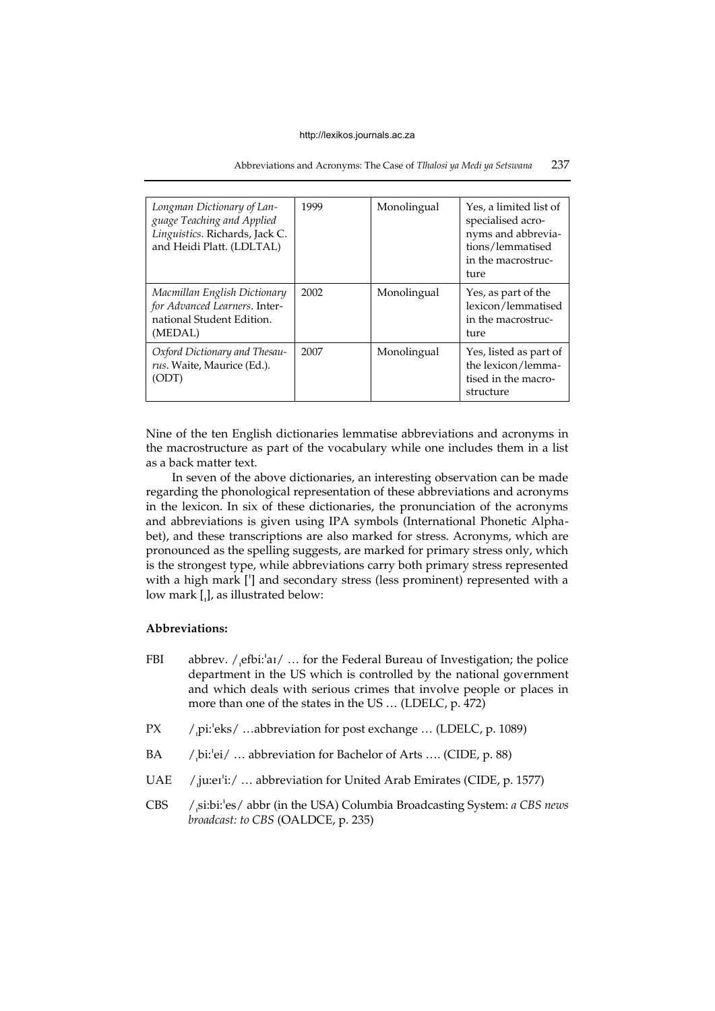## Abbreviations and Acronyms: The Case of *Tlhalosi ya Medi ya Setswana* 237

| Longman Dictionary of Lan-<br>guage Teaching and Applied<br>Linguistics. Richards, Jack C.<br>and Heidi Platt. (LDLTAL) | 1999 | Monolingual | Yes, a limited list of<br>specialised acro-<br>nyms and abbrevia-<br>tions/lemmatised<br>in the macrostruc-<br>ture |
|-------------------------------------------------------------------------------------------------------------------------|------|-------------|---------------------------------------------------------------------------------------------------------------------|
| Macmillan English Dictionary<br>for Advanced Learners. Inter-<br>national Student Edition.<br>(MEDAL)                   | 2002 | Monolingual | Yes, as part of the<br>lexicon/lemmatised<br>in the macrostruc-<br>ture                                             |
| Oxford Dictionary and Thesau-<br>rus. Waite, Maurice (Ed.).<br>(ODT)                                                    | 2007 | Monolingual | Yes, listed as part of<br>the lexicon/lemma-<br>tised in the macro-<br>structure                                    |

Nine of the ten English dictionaries lemmatise abbreviations and acronyms in the macrostructure as part of the vocabulary while one includes them in a list as a back matter text.

In seven of the above dictionaries, an interesting observation can be made regarding the phonological representation of these abbreviations and acronyms in the lexicon. In six of these dictionaries, the pronunciation of the acronyms and abbreviations is given using IPA symbols (International Phonetic Alphabet), and these transcriptions are also marked for stress. Acronyms, which are pronounced as the spelling suggests, are marked for primary stress only, which is the strongest type, while abbreviations carry both primary stress represented with a high mark ['] and secondary stress (less prominent) represented with a low mark [,], as illustrated below:

# **Abbreviations:**

- FBI abbrev.  $/$ , efbi: $a_1/$  ... for the Federal Bureau of Investigation; the police department in the US which is controlled by the national government and which deals with serious crimes that involve people or places in more than one of the states in the US … (LDELC, p. 472)
- PX /pi: $\text{eks}/\text{...}$ abbreviation for post exchange ... (LDELC, p. 1089)
- BA /bi:<sup>1</sup>ei/ ... abbreviation for Bachelor of Arts .... (CIDE, p. 88)
- UAE /ju:eɪ<sup>'</sup>i:/ ... abbreviation for United Arab Emirates (CIDE, p. 1577)
- CBS /si:bi:<sup>1</sup>es/ abbr (in the USA) Columbia Broadcasting System: *a CBS news broadcast: to CBS* (OALDCE, p. 235)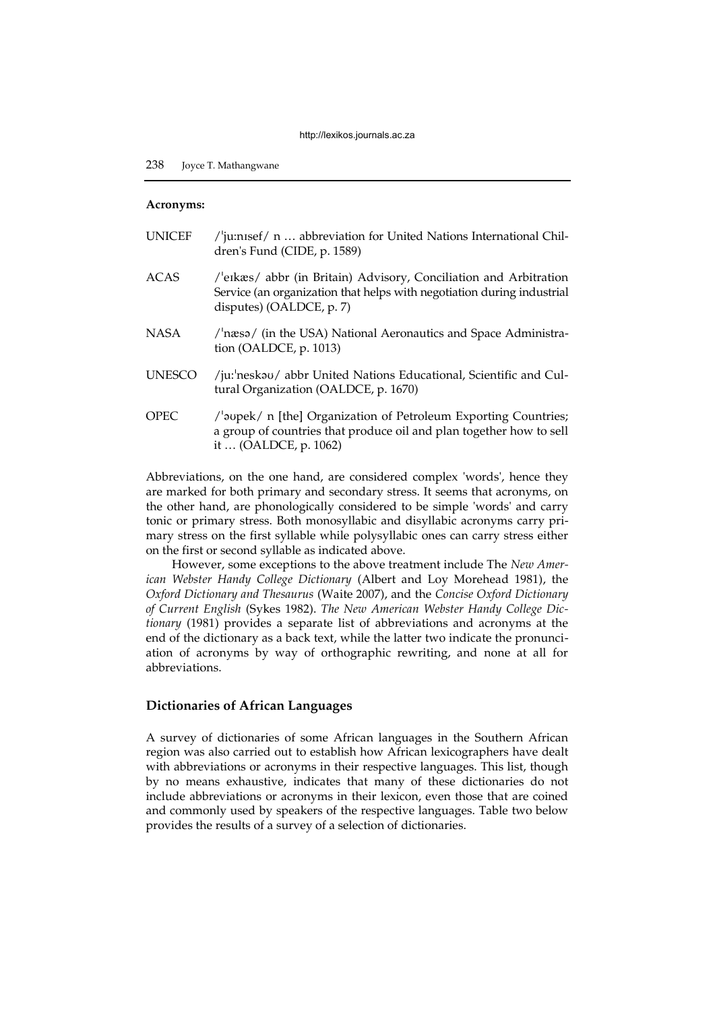## **Acronyms:**

| UNICEF        | / $'$ ju:nisef/ n  abbreviation for United Nations International Chil-<br>dren's Fund (CIDE, p. 1589)                                                                   |
|---------------|-------------------------------------------------------------------------------------------------------------------------------------------------------------------------|
| ACAS          | /'eɪkæs/ abbr (in Britain) Advisory, Conciliation and Arbitration<br>Service (an organization that helps with negotiation during industrial<br>disputes) (OALDCE, p. 7) |
| NASA          | /'næsə/ (in the USA) National Aeronautics and Space Administra-<br>tion (OALDCE, $p. 1013$ )                                                                            |
| <b>UNESCO</b> | /ju: neskau/ abbr United Nations Educational, Scientific and Cul-<br>tural Organization (OALDCE, p. 1670)                                                               |
| OPEC          | /'aupek/ n [the] Organization of Petroleum Exporting Countries;<br>a group of countries that produce oil and plan together how to sell<br>it  (OALDCE, p. 1062)         |

Abbreviations, on the one hand, are considered complex 'words', hence they are marked for both primary and secondary stress. It seems that acronyms, on the other hand, are phonologically considered to be simple 'words' and carry tonic or primary stress. Both monosyllabic and disyllabic acronyms carry primary stress on the first syllable while polysyllabic ones can carry stress either on the first or second syllable as indicated above.

However, some exceptions to the above treatment include The *New American Webster Handy College Dictionary* (Albert and Loy Morehead 1981), the *Oxford Dictionary and Thesaurus* (Waite 2007), and the *Concise Oxford Dictionary of Current English* (Sykes 1982). *The New American Webster Handy College Dictionary* (1981) provides a separate list of abbreviations and acronyms at the end of the dictionary as a back text, while the latter two indicate the pronunciation of acronyms by way of orthographic rewriting, and none at all for abbreviations.

## **Dictionaries of African Languages**

A survey of dictionaries of some African languages in the Southern African region was also carried out to establish how African lexicographers have dealt with abbreviations or acronyms in their respective languages. This list, though by no means exhaustive, indicates that many of these dictionaries do not include abbreviations or acronyms in their lexicon, even those that are coined and commonly used by speakers of the respective languages. Table two below provides the results of a survey of a selection of dictionaries.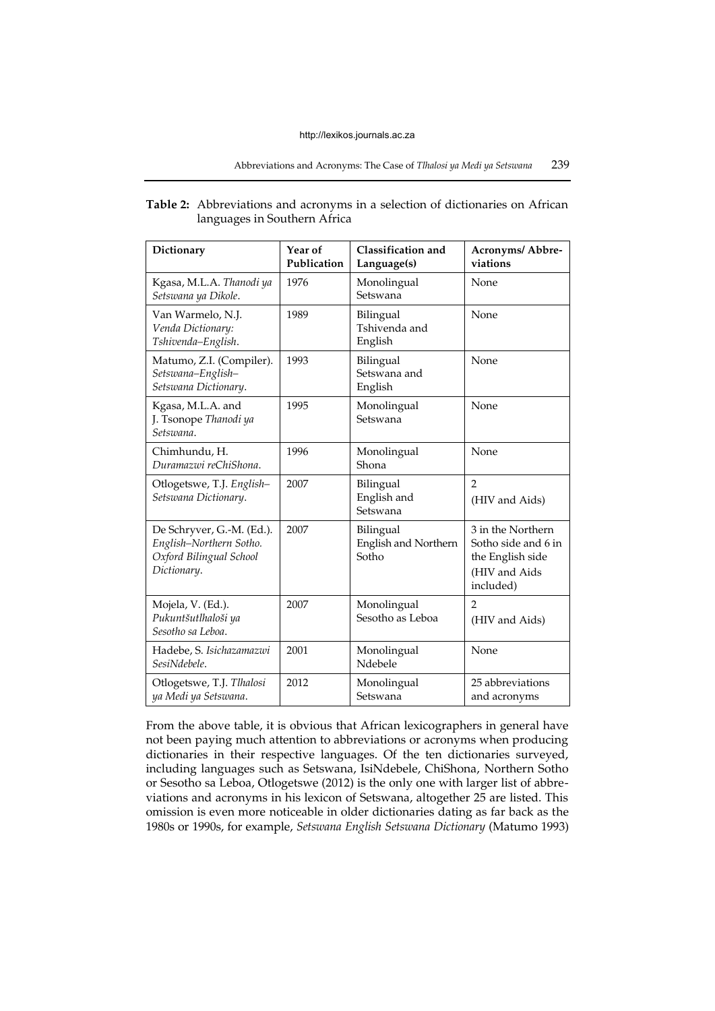| <b>Table 2:</b> Abbreviations and acronyms in a selection of dictionaries on African |
|--------------------------------------------------------------------------------------|
| languages in Southern Africa                                                         |

| Dictionary                                                                                     | Year of<br>Publication | Classification and<br>Language(s)          | Acronyms/ Abbre-<br>viations                                                               |
|------------------------------------------------------------------------------------------------|------------------------|--------------------------------------------|--------------------------------------------------------------------------------------------|
| Kgasa, M.L.A. Thanodi ya<br>Setswana ya Dikole.                                                | 1976                   | Monolingual<br>Setswana                    | None                                                                                       |
| Van Warmelo, N.J.<br>Venda Dictionary:<br>Tshivenda-English.                                   | 1989                   | Bilingual<br>Tshivenda and<br>English      | None                                                                                       |
| Matumo, Z.I. (Compiler).<br>Setswana-English-<br>Setswana Dictionary.                          | 1993                   | Bilingual<br>Setswana and<br>English       | None                                                                                       |
| Kgasa, M.L.A. and<br>J. Tsonope Thanodi ya<br>Setswana.                                        | 1995                   | Monolingual<br>Setswana                    | None                                                                                       |
| Chimhundu, H.<br>Duramazwi reChiShona.                                                         | 1996                   | Monolingual<br>Shona                       | None                                                                                       |
| Otlogetswe, T.J. English-<br>Setswana Dictionary.                                              | 2007                   | Bilingual<br>English and<br>Setswana       | $\overline{2}$<br>(HIV and Aids)                                                           |
| De Schryver, G.-M. (Ed.).<br>English-Northern Sotho.<br>Oxford Bilingual School<br>Dictionary. | 2007                   | Bilingual<br>English and Northern<br>Sotho | 3 in the Northern<br>Sotho side and 6 in<br>the English side<br>(HIV and Aids<br>included) |
| Mojela, V. (Ed.).<br>Pukuntšutlhaloši ya<br>Sesotho sa Leboa.                                  | 2007                   | Monolingual<br>Sesotho as Leboa            | $\overline{2}$<br>(HIV and Aids)                                                           |
| Hadebe, S. Isichazamazwi<br>SesiNdebele.                                                       | 2001                   | Monolingual<br>Ndebele                     | None                                                                                       |
| Otlogetswe, T.J. Tlhalosi<br>ya Medi ya Setswana.                                              | 2012                   | Monolingual<br>Setswana                    | 25 abbreviations<br>and acronyms                                                           |

From the above table, it is obvious that African lexicographers in general have not been paying much attention to abbreviations or acronyms when producing dictionaries in their respective languages. Of the ten dictionaries surveyed, including languages such as Setswana, IsiNdebele, ChiShona, Northern Sotho or Sesotho sa Leboa, Otlogetswe (2012) is the only one with larger list of abbreviations and acronyms in his lexicon of Setswana, altogether 25 are listed. This omission is even more noticeable in older dictionaries dating as far back as the 1980s or 1990s, for example, *Setswana English Setswana Dictionary* (Matumo 1993)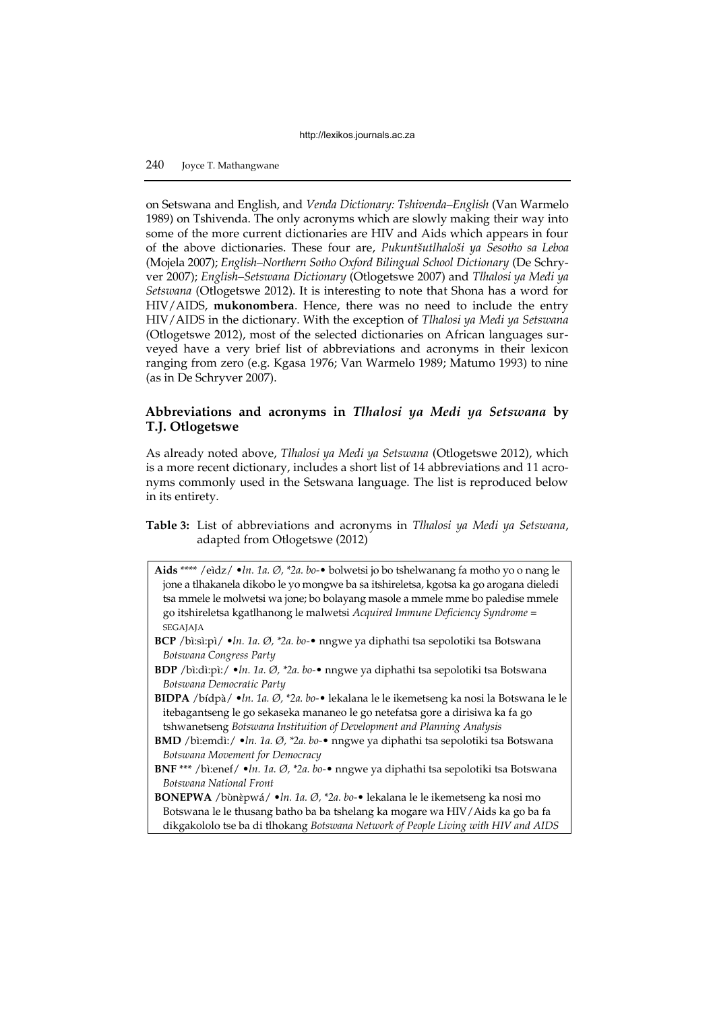# 240 Joyce T. Mathangwane

on Setswana and English, and *Venda Dictionary: Tshivenda–English* (Van Warmelo 1989) on Tshivenda. The only acronyms which are slowly making their way into some of the more current dictionaries are HIV and Aids which appears in four of the above dictionaries. These four are, *Pukuntšutlhaloši ya Sesotho sa Leboa* (Mojela 2007); *English–Northern Sotho Oxford Bilingual School Dictionary* (De Schryver 2007); *English–Setswana Dictionary* (Otlogetswe 2007) and *Tlhalosi ya Medi ya Setswana* (Otlogetswe 2012). It is interesting to note that Shona has a word for HIV/AIDS, **mukonombera**. Hence, there was no need to include the entry HIV/AIDS in the dictionary. With the exception of *Tlhalosi ya Medi ya Setswana* (Otlogetswe 2012), most of the selected dictionaries on African languages surveyed have a very brief list of abbreviations and acronyms in their lexicon ranging from zero (e.g. Kgasa 1976; Van Warmelo 1989; Matumo 1993) to nine (as in De Schryver 2007).

# **Abbreviations and acronyms in** *Tlhalosi ya Medi ya Setswana* **by T.J. Otlogetswe**

As already noted above, *Tlhalosi ya Medi ya Setswana* (Otlogetswe 2012), which is a more recent dictionary, includes a short list of 14 abbreviations and 11 acronyms commonly used in the Setswana language. The list is reproduced below in its entirety.

**Table 3:** List of abbreviations and acronyms in *Tlhalosi ya Medi ya Setswana*, adapted from Otlogetswe (2012)

- **Aids** \*\*\*\* /eìdz/ •*ln. 1a. Ø, \*2a. bo-* bolwetsi jo bo tshelwanang fa motho yo o nang le jone a tlhakanela dikobo le yo mongwe ba sa itshireletsa, kgotsa ka go arogana dieledi tsa mmele le molwetsi wa jone; bo bolayang masole a mmele mme bo paledise mmele go itshireletsa kgatlhanong le malwetsi *Acquired Immune Deficiency Syndrome* = SEGAJAJA
- **BCP** /bì:sì:pì/ •*ln. 1a. Ø, \*2a. bo-* nngwe ya diphathi tsa sepolotiki tsa Botswana *Botswana Congress Party*
- **BDP** /bì:dì:pì:/ •*ln. 1a. Ø, \*2a. bo-* nngwe ya diphathi tsa sepolotiki tsa Botswana *Botswana Democratic Party*
- **BIDPA** /bídpà/ •*ln. 1a. Ø, \*2a. bo-* lekalana le le ikemetseng ka nosi la Botswana le le itebagantseng le go sekaseka mananeo le go netefatsa gore a dirisiwa ka fa go tshwanetseng *Botswana Instituition of Development and Planning Analysis*
- **BMD** /bì:emdì:/ •*ln. 1a. Ø, \*2a. bo-* nngwe ya diphathi tsa sepolotiki tsa Botswana *Botswana Movement for Democracy*
- **BNF** \*\*\* /bì:enef/ •*ln. 1a. Ø, \*2a. bo-* nngwe ya diphathi tsa sepolotiki tsa Botswana *Botswana National Front*
- **BONEPWA** /bʊ̀nɛ̀pwá/ •*ln. 1a. Ø, \*2a. bo-* lekalana le le ikemetseng ka nosi mo Botswana le le thusang batho ba ba tshelang ka mogare wa HIV/Aids ka go ba fa dikgakololo tse ba di tlhokang *Botswana Network of People Living with HIV and AIDS*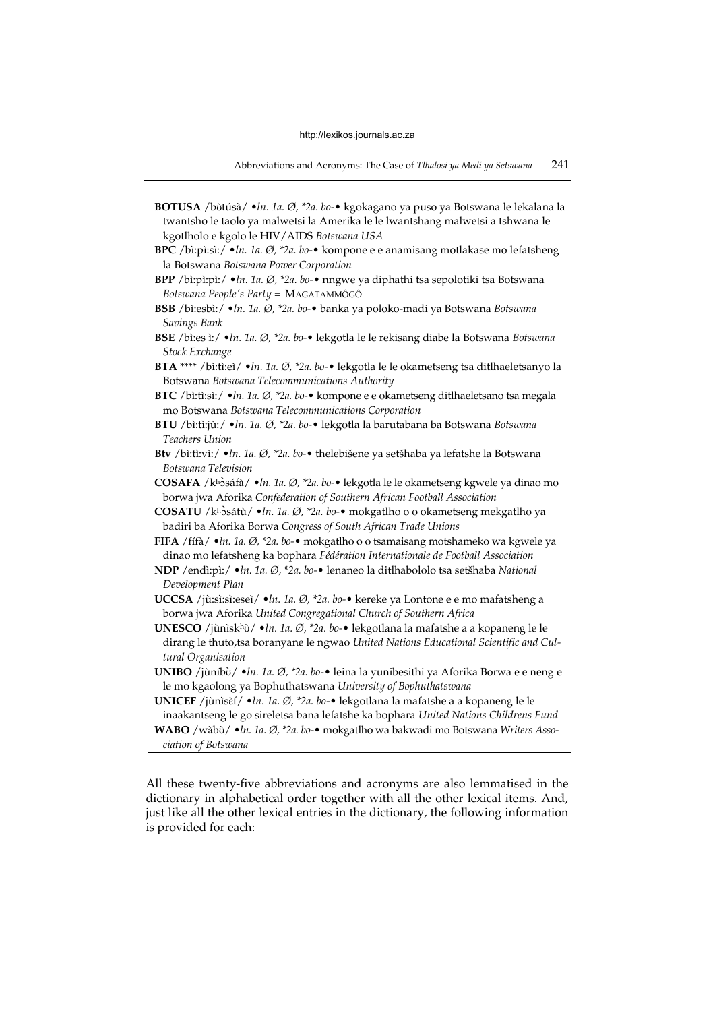Abbreviations and Acronyms: The Case of *Tlhalosi ya Medi ya Setswana* 241

| BOTUSA / bùtúsà/ · ln. 1a. Ø, *2a. bo-• kgokagano ya puso ya Botswana le lekalana la<br>twantsho le taolo ya malwetsi la Amerika le le lwantshang malwetsi a tshwana le<br>kgotlholo e kgolo le HIV/AIDS Botswana USA |
|-----------------------------------------------------------------------------------------------------------------------------------------------------------------------------------------------------------------------|
| BPC /bi:pi:si:/ $\cdot$ ln. 1a. Ø, *2a. bo- $\cdot$ kompone e e anamisang motlakase mo lefatsheng                                                                                                                     |
| la Botswana Botswana Power Corporation                                                                                                                                                                                |
| BPP /bi:pi:pi:/ · ln. 1a. Ø, *2a. bo-· nngwe ya diphathi tsa sepolotiki tsa Botswana<br>Botswana People's Party = MAGATAMMÔGÔ                                                                                         |
| BSB /bì:esbì:/ · ln. 1a. Ø, *2a. bo-· banka ya poloko-madi ya Botswana Botswana<br>Savings Bank                                                                                                                       |
| BSE /bi:es i:/ $\cdot$ ln. 1a. Ø, *2a. bo- $\cdot$ lekgotla le le rekisang diabe la Botswana Botswana                                                                                                                 |
| Stock Exchange                                                                                                                                                                                                        |
| BTA **** /bi:ti:eì/ · ln. 1a. Ø, *2a. bo-· lekgotla le le okametseng tsa ditlhaeletsanyo la<br>Botswana Botswana Telecommunications Authority                                                                         |
| BTC /bi:ti:si:/ $\cdot$ ln. 1a. Ø, $*2a$ . bo- $\cdot$ kompone e e okametseng ditlhaeletsano tsa megala<br>mo Botswana Botswana Telecommunications Corporation                                                        |
| BTU /bì:tì:jù:/ · In. 1a. Ø, *2a. bo-· lekgotla la barutabana ba Botswana Botswana                                                                                                                                    |
| Teachers Union                                                                                                                                                                                                        |
| Btv /bi:ti:vi:/ · ln. 1a. Ø, *2a. bo-· thelebišene ya setšhaba ya lefatshe la Botswana                                                                                                                                |
| Botswana Television                                                                                                                                                                                                   |
| COSAFA / khòsáfà / · ln. 1a. Ø, *2a. bo-• lekgotla le le okametseng kgwele ya dinao mo<br>borwa jwa Aforika Confederation of Southern African Football Association                                                    |
| COSATU / khòsátù/ · ln. 1a. Ø, *2a. bo-· mokgatlho o o okametseng mekgatlho ya<br>badiri ba Aforika Borwa Congress of South African Trade Unions                                                                      |
| FIFA / fífà/ · ln. 1a. Ø, *2a. bo-• mokgatlho o o tsamaisang motshameko wa kgwele ya                                                                                                                                  |
| dinao mo lefatsheng ka bophara Fédération Internationale de Football Association                                                                                                                                      |
| NDP / endì:pì: / · ln. 1a. Ø, *2a. bo-· lenaneo la ditlhabololo tsa setšhaba National<br>Development Plan                                                                                                             |
| UCCSA /jù:sì:sì:eseì/ · ln. 1a. Ø, *2a. bo-• kereke ya Lontone e e mo mafatsheng a                                                                                                                                    |
| borwa jwa Aforika United Congregational Church of Southern Africa                                                                                                                                                     |
| UNESCO /jùnìskhù/ · ln. 1a. Ø, *2a. bo-· lekgotlana la mafatshe a a kopaneng le le<br>dirang le thuto, tsa boranyane le ngwao United Nations Educational Scientific and Cul-                                          |
| tural Organisation                                                                                                                                                                                                    |
| UNIBO /jùníbù/ ·ln. 1a. Ø, *2a. bo-• leina la yunibesithi ya Aforika Borwa e e neng e<br>le mo kgaolong ya Bophuthatswana University of Bophuthatswana                                                                |
| UNICEF /jùnìsèf/ · ln. 1a. Ø, *2a. bo-• lekgotlana la mafatshe a a kopaneng le le                                                                                                                                     |
| inaakantseng le go sireletsa bana lefatshe ka bophara United Nations Childrens Fund                                                                                                                                   |
| WABO /wàbù/ · In. 1a. Ø, *2a. bo-· mokgatlho wa bakwadi mo Botswana Writers Asso-<br>ciation of Botswana                                                                                                              |
|                                                                                                                                                                                                                       |

All these twenty-five abbreviations and acronyms are also lemmatised in the dictionary in alphabetical order together with all the other lexical items. And, just like all the other lexical entries in the dictionary, the following information is provided for each: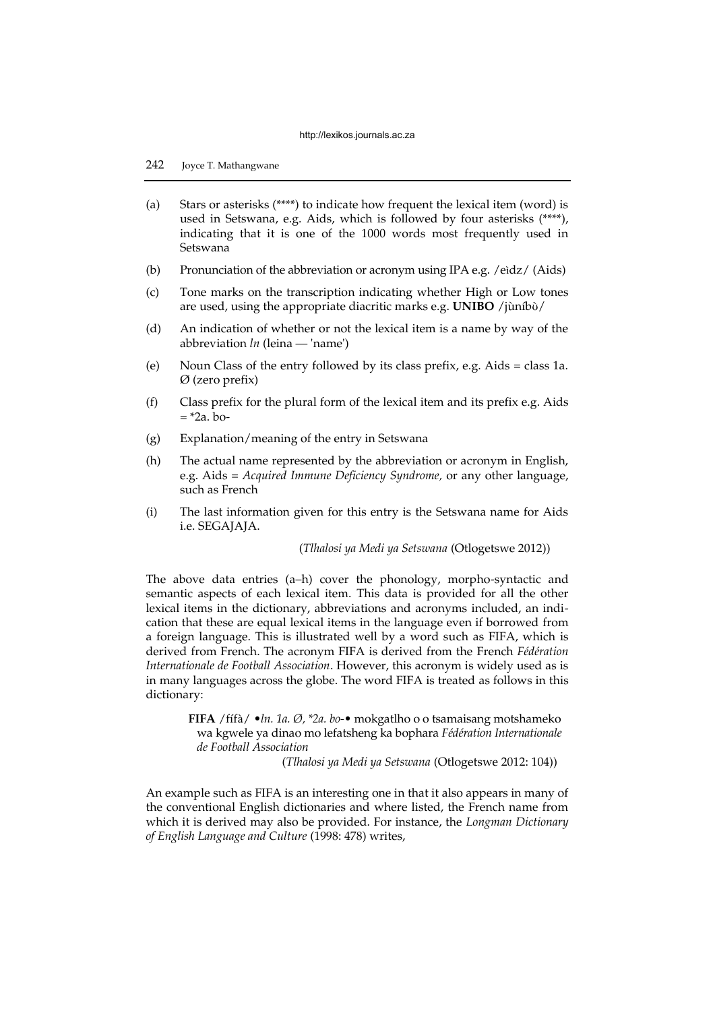## 242 Joyce T. Mathangwane

- (a) Stars or asterisks  $(***)$  to indicate how frequent the lexical item (word) is used in Setswana, e.g. Aids, which is followed by four asterisks (\*\*\*\*), indicating that it is one of the 1000 words most frequently used in Setswana
- (b) Pronunciation of the abbreviation or acronym using IPA e.g. /eìdz/ (Aids)
- (c) Tone marks on the transcription indicating whether High or Low tones are used, using the appropriate diacritic marks e.g. **UNIBO** /jùníbʊ̀/
- (d) An indication of whether or not the lexical item is a name by way of the abbreviation *ln* (leina — 'name')
- (e) Noun Class of the entry followed by its class prefix, e.g. Aids = class 1a. Ø (zero prefix)
- (f) Class prefix for the plural form of the lexical item and its prefix e.g. Aids  $=$  \*2a. bo-
- (g) Explanation/meaning of the entry in Setswana
- (h) The actual name represented by the abbreviation or acronym in English, e.g. Aids = *Acquired Immune Deficiency Syndrome,* or any other language, such as French
- (i) The last information given for this entry is the Setswana name for Aids i.e. SEGAJAJA.

(*Tlhalosi ya Medi ya Setswana* (Otlogetswe 2012))

The above data entries (a–h) cover the phonology, morpho-syntactic and semantic aspects of each lexical item. This data is provided for all the other lexical items in the dictionary, abbreviations and acronyms included, an indication that these are equal lexical items in the language even if borrowed from a foreign language. This is illustrated well by a word such as FIFA, which is derived from French. The acronym FIFA is derived from the French *Fédération Internationale de Football Association*. However, this acronym is widely used as is in many languages across the globe. The word FIFA is treated as follows in this dictionary:

> **FIFA** /fífà/ •*ln. 1a. Ø, \*2a. bo-*• mokgatlho o o tsamaisang motshameko wa kgwele ya dinao mo lefatsheng ka bophara *Fédération Internationale de Football Association*

> > (*Tlhalosi ya Medi ya Setswana* (Otlogetswe 2012: 104))

An example such as FIFA is an interesting one in that it also appears in many of the conventional English dictionaries and where listed, the French name from which it is derived may also be provided. For instance, the *Longman Dictionary of English Language and Culture* (1998: 478) writes,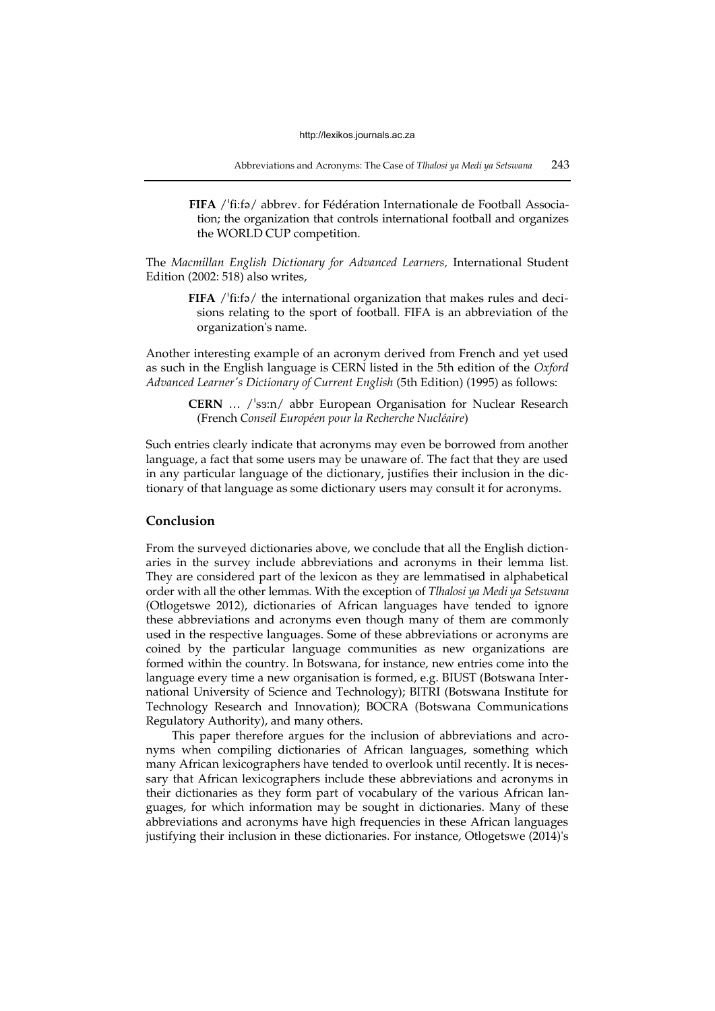**FIFA** /<sup>1</sup>fi:fə/ abbrev. for Fédération Internationale de Football Association; the organization that controls international football and organizes the WORLD CUP competition.

The *Macmillan English Dictionary for Advanced Learners,* International Student Edition (2002: 518) also writes,

> **FIFA**  $/$ <sup>t</sup>fi:f<sub>2</sub> $/$  the international organization that makes rules and decisions relating to the sport of football. FIFA is an abbreviation of the organization's name.

Another interesting example of an acronym derived from French and yet used as such in the English language is CERN listed in the 5th edition of the *Oxford Advanced Learner's Dictionary of Current English* (5th Edition) (1995) as follows:

> **CERN** ... /'s3:n/ abbr European Organisation for Nuclear Research (French *Conseil Européen pour la Recherche Nucléaire*)

Such entries clearly indicate that acronyms may even be borrowed from another language, a fact that some users may be unaware of. The fact that they are used in any particular language of the dictionary, justifies their inclusion in the dictionary of that language as some dictionary users may consult it for acronyms.

## **Conclusion**

From the surveyed dictionaries above, we conclude that all the English dictionaries in the survey include abbreviations and acronyms in their lemma list. They are considered part of the lexicon as they are lemmatised in alphabetical order with all the other lemmas. With the exception of *Tlhalosi ya Medi ya Setswana* (Otlogetswe 2012), dictionaries of African languages have tended to ignore these abbreviations and acronyms even though many of them are commonly used in the respective languages. Some of these abbreviations or acronyms are coined by the particular language communities as new organizations are formed within the country. In Botswana, for instance, new entries come into the language every time a new organisation is formed, e.g. BIUST (Botswana International University of Science and Technology); BITRI (Botswana Institute for Technology Research and Innovation); BOCRA (Botswana Communications Regulatory Authority), and many others.

This paper therefore argues for the inclusion of abbreviations and acronyms when compiling dictionaries of African languages, something which many African lexicographers have tended to overlook until recently. It is necessary that African lexicographers include these abbreviations and acronyms in their dictionaries as they form part of vocabulary of the various African languages, for which information may be sought in dictionaries. Many of these abbreviations and acronyms have high frequencies in these African languages justifying their inclusion in these dictionaries. For instance, Otlogetswe (2014)'s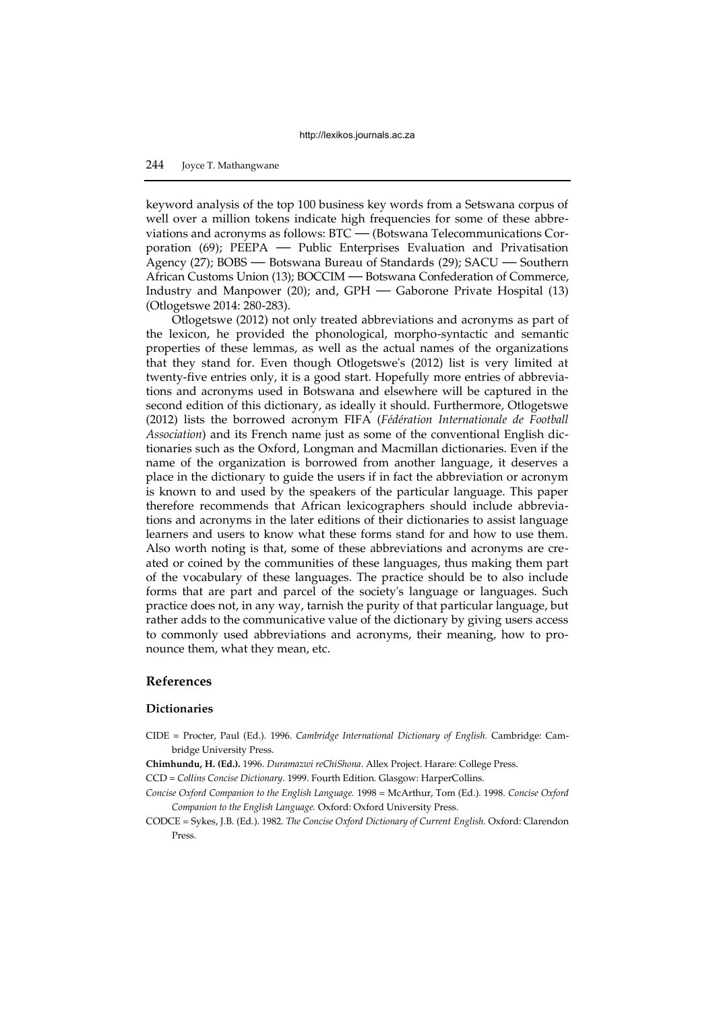## 244 Joyce T. Mathangwane

keyword analysis of the top 100 business key words from a Setswana corpus of well over a million tokens indicate high frequencies for some of these abbreviations and acronyms as follows: BTC — (Botswana Telecommunications Corporation (69); PEEPA — Public Enterprises Evaluation and Privatisation Agency (27); BOBS — Botswana Bureau of Standards (29); SACU — Southern African Customs Union (13); BOCCIM — Botswana Confederation of Commerce, Industry and Manpower (20); and, GPH — Gaborone Private Hospital (13) (Otlogetswe 2014: 280-283).

Otlogetswe (2012) not only treated abbreviations and acronyms as part of the lexicon, he provided the phonological, morpho-syntactic and semantic properties of these lemmas, as well as the actual names of the organizations that they stand for. Even though Otlogetswe's (2012) list is very limited at twenty-five entries only, it is a good start. Hopefully more entries of abbreviations and acronyms used in Botswana and elsewhere will be captured in the second edition of this dictionary, as ideally it should. Furthermore, Otlogetswe (2012) lists the borrowed acronym FIFA (*Fédération Internationale de Football Association*) and its French name just as some of the conventional English dictionaries such as the Oxford, Longman and Macmillan dictionaries. Even if the name of the organization is borrowed from another language, it deserves a place in the dictionary to guide the users if in fact the abbreviation or acronym is known to and used by the speakers of the particular language. This paper therefore recommends that African lexicographers should include abbreviations and acronyms in the later editions of their dictionaries to assist language learners and users to know what these forms stand for and how to use them. Also worth noting is that, some of these abbreviations and acronyms are created or coined by the communities of these languages, thus making them part of the vocabulary of these languages. The practice should be to also include forms that are part and parcel of the society's language or languages. Such practice does not, in any way, tarnish the purity of that particular language, but rather adds to the communicative value of the dictionary by giving users access to commonly used abbreviations and acronyms, their meaning, how to pronounce them, what they mean, etc.

## **References**

## **Dictionaries**

- CIDE = Procter, Paul (Ed.). 1996. *Cambridge International Dictionary of English.* Cambridge: Cambridge University Press.
- **Chimhundu, H. (Ed.).** 1996. *Duramazwi reChiShona*. Allex Project. Harare: College Press.

CCD = *Collins Concise Dictionary*. 1999. Fourth Edition. Glasgow: HarperCollins.

- *Concise Oxford Companion to the English Language.* 1998 = McArthur, Tom (Ed.). 1998. *Concise Oxford Companion to the English Language.* Oxford: Oxford University Press.
- CODCE *=* Sykes, J.B. (Ed.). 1982. *The Concise Oxford Dictionary of Current English.* Oxford: Clarendon Press.